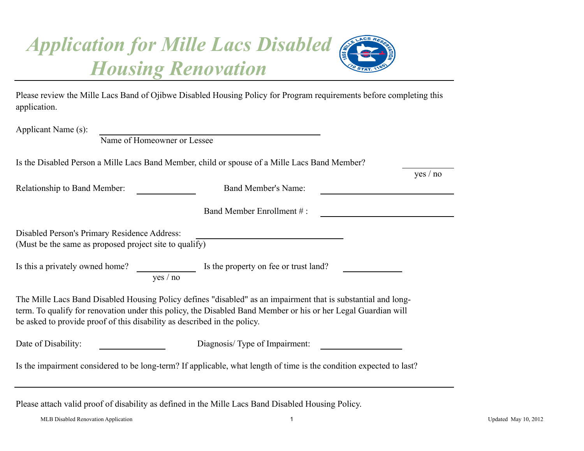## *Application for Mille Lacs Disabled Housing Renovation*

| application.                                                                                           | Please review the Mille Lacs Band of Ojibwe Disabled Housing Policy for Program requirements before completing this                                                                                                            |
|--------------------------------------------------------------------------------------------------------|--------------------------------------------------------------------------------------------------------------------------------------------------------------------------------------------------------------------------------|
| Applicant Name (s):<br>Name of Homeowner or Lessee                                                     |                                                                                                                                                                                                                                |
| Is the Disabled Person a Mille Lacs Band Member, child or spouse of a Mille Lacs Band Member?          | yes / no                                                                                                                                                                                                                       |
| Relationship to Band Member:                                                                           | <b>Band Member's Name:</b>                                                                                                                                                                                                     |
|                                                                                                        | Band Member Enrollment #:                                                                                                                                                                                                      |
| Disabled Person's Primary Residence Address:<br>(Must be the same as proposed project site to qualify) |                                                                                                                                                                                                                                |
| Is this a privately owned home?<br>yes / no                                                            | Is the property on fee or trust land?                                                                                                                                                                                          |
| be asked to provide proof of this disability as described in the policy.                               | The Mille Lacs Band Disabled Housing Policy defines "disabled" as an impairment that is substantial and long-<br>term. To qualify for renovation under this policy, the Disabled Band Member or his or her Legal Guardian will |
| Date of Disability:                                                                                    | Diagnosis/Type of Impairment:                                                                                                                                                                                                  |
|                                                                                                        | Is the impairment considered to be long-term? If applicable, what length of time is the condition expected to last?                                                                                                            |

Please attach valid proof of disability as defined in the Mille Lacs Band Disabled Housing Policy.

MLB Disabled Renovation Application 1 Updated May 10, 2012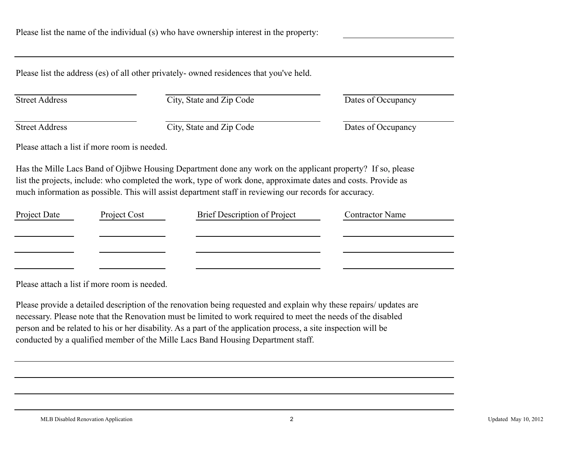Please list the address (es) of all other privately- owned residences that you've held.

Street Address City, State and Zip Code Dates of Occupancy

Street Address City, State and Zip Code Dates of Occupancy

Please attach a list if more room is needed.

Has the Mille Lacs Band of Ojibwe Housing Department done any work on the applicant property? If so, please list the projects, include: who completed the work, type of work done, approximate dates and costs. Provide as much information as possible. This will assist department staff in reviewing our records for accuracy.

| Project Date | Project Cost | Brief Description of Project | <b>Contractor Name</b> |
|--------------|--------------|------------------------------|------------------------|
|              |              |                              |                        |
|              |              |                              |                        |
|              |              |                              |                        |
|              |              |                              |                        |

Please attach a list if more room is needed.

Please provide a detailed description of the renovation being requested and explain why these repairs/ updates are necessary. Please note that the Renovation must be limited to work required to meet the needs of the disabled person and be related to his or her disability. As a part of the application process, a site inspection will be conducted by a qualified member of the Mille Lacs Band Housing Department staff.